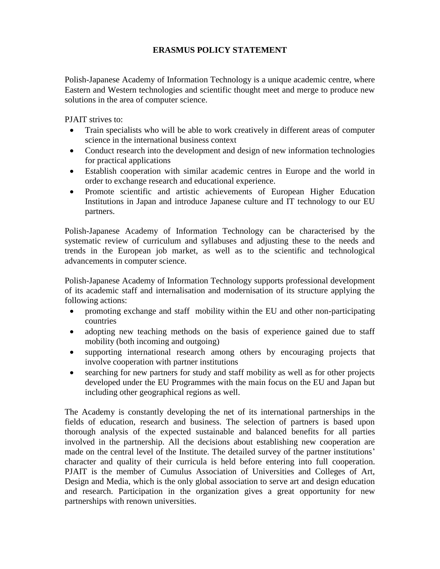## **ERASMUS POLICY STATEMENT**

Polish-Japanese Academy of Information Technology is a unique academic centre, where Eastern and Western technologies and scientific thought meet and merge to produce new solutions in the area of computer science.

PJAIT strives to:

- Train specialists who will be able to work creatively in different areas of computer science in the international business context
- Conduct research into the development and design of new information technologies for practical applications
- Establish cooperation with similar academic centres in Europe and the world in order to exchange research and educational experience.
- Promote scientific and artistic achievements of European Higher Education Institutions in Japan and introduce Japanese culture and IT technology to our EU partners.

Polish-Japanese Academy of Information Technology can be characterised by the systematic review of curriculum and syllabuses and adjusting these to the needs and trends in the European job market, as well as to the scientific and technological advancements in computer science.

Polish-Japanese Academy of Information Technology supports professional development of its academic staff and internalisation and modernisation of its structure applying the following actions:

- promoting exchange and staff mobility within the EU and other non-participating countries
- adopting new teaching methods on the basis of experience gained due to staff mobility (both incoming and outgoing)
- supporting international research among others by encouraging projects that involve cooperation with partner institutions
- searching for new partners for study and staff mobility as well as for other projects developed under the EU Programmes with the main focus on the EU and Japan but including other geographical regions as well.

The Academy is constantly developing the net of its international partnerships in the fields of education, research and business. The selection of partners is based upon thorough analysis of the expected sustainable and balanced benefits for all parties involved in the partnership. All the decisions about establishing new cooperation are made on the central level of the Institute. The detailed survey of the partner institutions' character and quality of their curricula is held before entering into full cooperation. PJAIT is the member of Cumulus Association of Universities and Colleges of Art, Design and Media, which is the only global association to serve art and design education and research. Participation in the organization gives a great opportunity for new partnerships with renown universities.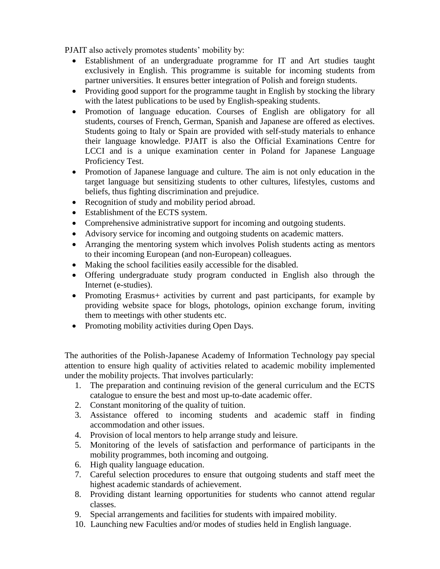PJAIT also actively promotes students' mobility by:

- Establishment of an undergraduate programme for IT and Art studies taught exclusively in English. This programme is suitable for incoming students from partner universities. It ensures better integration of Polish and foreign students.
- Providing good support for the programme taught in English by stocking the library with the latest publications to be used by English-speaking students.
- Promotion of language education. Courses of English are obligatory for all students, courses of French, German, Spanish and Japanese are offered as electives. Students going to Italy or Spain are provided with self-study materials to enhance their language knowledge. PJAIT is also the Official Examinations Centre for LCCI and is a unique examination center in Poland for Japanese Language Proficiency Test.
- Promotion of Japanese language and culture. The aim is not only education in the target language but sensitizing students to other cultures, lifestyles, customs and beliefs, thus fighting discrimination and prejudice.
- Recognition of study and mobility period abroad.
- Establishment of the ECTS system.
- Comprehensive administrative support for incoming and outgoing students.
- Advisory service for incoming and outgoing students on academic matters.
- Arranging the mentoring system which involves Polish students acting as mentors to their incoming European (and non-European) colleagues.
- Making the school facilities easily accessible for the disabled.
- Offering undergraduate study program conducted in English also through the Internet (e-studies).
- Promoting Erasmus+ activities by current and past participants, for example by providing website space for blogs, photologs, opinion exchange forum, inviting them to meetings with other students etc.
- Promoting mobility activities during Open Days.

The authorities of the Polish-Japanese Academy of Information Technology pay special attention to ensure high quality of activities related to academic mobility implemented under the mobility projects. That involves particularly:

- 1. The preparation and continuing revision of the general curriculum and the ECTS catalogue to ensure the best and most up-to-date academic offer.
- 2. Constant monitoring of the quality of tuition.
- 3. Assistance offered to incoming students and academic staff in finding accommodation and other issues.
- 4. Provision of local mentors to help arrange study and leisure.
- 5. Monitoring of the levels of satisfaction and performance of participants in the mobility programmes, both incoming and outgoing.
- 6. High quality language education.
- 7. Careful selection procedures to ensure that outgoing students and staff meet the highest academic standards of achievement.
- 8. Providing distant learning opportunities for students who cannot attend regular classes.
- 9. Special arrangements and facilities for students with impaired mobility.
- 10. Launching new Faculties and/or modes of studies held in English language.